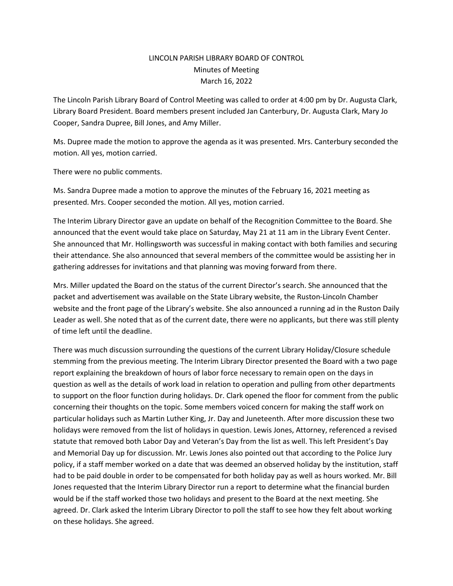## LINCOLN PARISH LIBRARY BOARD OF CONTROL Minutes of Meeting March 16, 2022

The Lincoln Parish Library Board of Control Meeting was called to order at 4:00 pm by Dr. Augusta Clark, Library Board President. Board members present included Jan Canterbury, Dr. Augusta Clark, Mary Jo Cooper, Sandra Dupree, Bill Jones, and Amy Miller.

Ms. Dupree made the motion to approve the agenda as it was presented. Mrs. Canterbury seconded the motion. All yes, motion carried.

There were no public comments.

Ms. Sandra Dupree made a motion to approve the minutes of the February 16, 2021 meeting as presented. Mrs. Cooper seconded the motion. All yes, motion carried.

The Interim Library Director gave an update on behalf of the Recognition Committee to the Board. She announced that the event would take place on Saturday, May 21 at 11 am in the Library Event Center. She announced that Mr. Hollingsworth was successful in making contact with both families and securing their attendance. She also announced that several members of the committee would be assisting her in gathering addresses for invitations and that planning was moving forward from there.

Mrs. Miller updated the Board on the status of the current Director's search. She announced that the packet and advertisement was available on the State Library website, the Ruston-Lincoln Chamber website and the front page of the Library's website. She also announced a running ad in the Ruston Daily Leader as well. She noted that as of the current date, there were no applicants, but there was still plenty of time left until the deadline.

There was much discussion surrounding the questions of the current Library Holiday/Closure schedule stemming from the previous meeting. The Interim Library Director presented the Board with a two page report explaining the breakdown of hours of labor force necessary to remain open on the days in question as well as the details of work load in relation to operation and pulling from other departments to support on the floor function during holidays. Dr. Clark opened the floor for comment from the public concerning their thoughts on the topic. Some members voiced concern for making the staff work on particular holidays such as Martin Luther King, Jr. Day and Juneteenth. After more discussion these two holidays were removed from the list of holidays in question. Lewis Jones, Attorney, referenced a revised statute that removed both Labor Day and Veteran's Day from the list as well. This left President's Day and Memorial Day up for discussion. Mr. Lewis Jones also pointed out that according to the Police Jury policy, if a staff member worked on a date that was deemed an observed holiday by the institution, staff had to be paid double in order to be compensated for both holiday pay as well as hours worked. Mr. Bill Jones requested that the Interim Library Director run a report to determine what the financial burden would be if the staff worked those two holidays and present to the Board at the next meeting. She agreed. Dr. Clark asked the Interim Library Director to poll the staff to see how they felt about working on these holidays. She agreed.